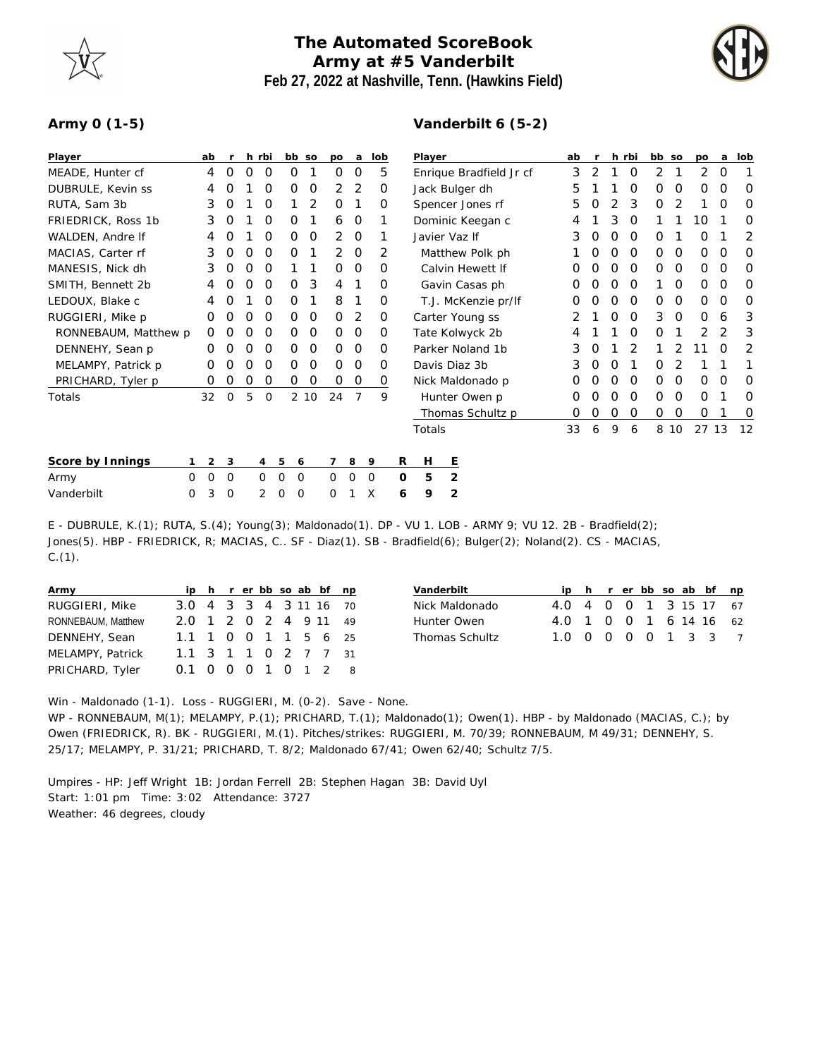## **The Automated ScoreBook Army at #5 Vanderbilt Feb 27, 2022 at Nashville, Tenn. (Hawkins Field)**



## **Army 0 (1-5)**

## **Vanderbilt 6 (5-2)**

| Player               | ab       |   | r        |   | h rbi       | bb so                   |      |                | po a           | lob         |   | Player                  |                     |  | ab | $\mathsf{r}$ |   | h rbi    | bb so    |          | po    | a        | lob |
|----------------------|----------|---|----------|---|-------------|-------------------------|------|----------------|----------------|-------------|---|-------------------------|---------------------|--|----|--------------|---|----------|----------|----------|-------|----------|-----|
| MEADE, Hunter cf     | 4        |   | O        | O | 0           | 0                       |      | 0              | 0              | 5           |   | Enrique Bradfield Jr cf |                     |  | 3  | 2            |   | 0        | 2        |          | 2     | 0        | 1   |
| DUBRULE, Kevin ss    | 4        |   | O        |   | O           | Ο                       | 0    | $\overline{2}$ | 2              | 0           |   | Jack Bulger dh          |                     |  |    |              |   | O        | $\Omega$ | O        | Ο     | 0        | O   |
| RUTA, Sam 3b         | 3        |   | 0        |   | O           |                         | 2    | 0              |                | 0           |   | Spencer Jones rf        |                     |  |    | Ο            | 2 | 3        | 0        | 2        |       | 0        | 0   |
| FRIEDRICK, Ross 1b   | 3        |   | O        |   | O           | Ο                       |      | 6              | 0              |             |   | Dominic Keegan c        |                     |  |    |              | 3 | 0        |          |          | 10    |          | O   |
| WALDEN, Andre If     | 4        |   | Ο        |   | O           | 0                       | 0    | 2              | 0              | 1           |   | Javier Vaz If           |                     |  |    | Ω            | 0 | 0        | 0        |          | 0     |          | 2   |
| MACIAS, Carter rf    | 3        |   | O        | O | 0           | 0                       |      | $\overline{2}$ | 0              | 2           |   | Matthew Polk ph         |                     |  |    |              | Ο | O        | 0        | O        | 0     | 0        | O   |
| MANESIS, Nick dh     |          | 3 | O        | Ο | O           |                         |      | $\Omega$       | $\overline{0}$ | O           |   | Calvin Hewett If        |                     |  |    | Ο            | Ο | 0        | $\Omega$ | $\Omega$ | 0     | 0        | O   |
| SMITH, Bennett 2b    | 4        |   | Ω        | Ο | 0           | 0                       | 3    | 4              |                | 0           |   | Gavin Casas ph          |                     |  |    | 0            | O | 0        |          | 0        | 0     | 0        | 0   |
| LEDOUX, Blake c      | 4        |   |          |   | O           | 0                       |      | 8              |                | 0           |   |                         | T.J. McKenzie pr/lf |  | Ο  |              | Ο | $\Omega$ | 0        | O        | 0     | $\Omega$ | O   |
| RUGGIERI, Mike p     | Ο        |   | O        | O | O           | 0                       | 0    | $\Omega$       | 2              | $\Omega$    |   |                         | Carter Young ss     |  | 2  |              | 0 | $\Omega$ | 3        | $\Omega$ | 0     | 6        | 3   |
| RONNEBAUM, Matthew p | $\Omega$ |   | Ω        | Ο | O           | 0                       | 0    | 0              | 0              | 0           |   |                         | Tate Kolwyck 2b     |  | 4  |              |   | 0        | 0        |          | 2     |          | 3   |
| DENNEHY, Sean p      | Ω        |   |          | Ω | O           | 0                       | 0    | 0              | $\Omega$       | O           |   |                         | Parker Noland 1b    |  | 3  |              |   | 2        |          |          |       | Ω        | 2   |
| MELAMPY, Patrick p   | Ο        |   | O        | Ω | O           | 0                       | 0    | $\Omega$       | 0              | 0           |   |                         | Davis Diaz 3b       |  | 3  | Ο            | Ο |          | O        |          |       |          | 1   |
| PRICHARD, Tyler p    | 0        |   | 0        | 0 | 0           | 0                       | 0    | 0              | 0              | 0           |   |                         | Nick Maldonado p    |  | 0  | Ο            | Ο | 0        | $\Omega$ | O        | 0     | O        | 0   |
| Totals               | 32       |   | 0        | 5 | $\mathbf 0$ |                         | 2 10 | 24             | 7              | 9           |   |                         | Hunter Owen p       |  | O  | Ο            | Ο | O        | $\Omega$ | $\Omega$ | 0     |          | 0   |
|                      |          |   |          |   |             |                         |      |                |                |             |   |                         | Thomas Schultz p    |  | 0  | Ο            | 0 | 0        | 0        | O        | 0     |          | 0   |
|                      |          |   |          |   |             |                         |      |                |                |             |   | Totals                  |                     |  | 33 | 6            | 9 | 6        |          | 8 10     | 27 13 |          | 12  |
| Score by Innings     |          | 2 | 3        |   | 4           | 5<br>6                  |      | $\overline{7}$ | 8              | 9           | R | H                       | Ε                   |  |    |              |   |          |          |          |       |          |     |
| $\Omega$<br>Army     | $\Omega$ |   | $\Omega$ |   | $\Omega$    | $\mathbf 0$<br>$\Omega$ |      | $\mathbf 0$    | $\Omega$       | $\mathbf 0$ | 0 | 5                       | $\overline{2}$      |  |    |              |   |          |          |          |       |          |     |
| Vanderbilt<br>0      |          | 3 | $\Omega$ |   | 2           | 0<br>0                  |      | 0              |                | X           | 6 | 9                       | 2                   |  |    |              |   |          |          |          |       |          |     |

E - DUBRULE, K.(1); RUTA, S.(4); Young(3); Maldonado(1). DP - VU 1. LOB - ARMY 9; VU 12. 2B - Bradfield(2); Jones(5). HBP - FRIEDRICK, R; MACIAS, C.. SF - Diaz(1). SB - Bradfield(6); Bulger(2); Noland(2). CS - MACIAS,  $C.(1).$ 

| Army               |                        |  |  |  | ip h r er bb so ab bf np |  |
|--------------------|------------------------|--|--|--|--------------------------|--|
| RUGGIERI, Mike     | 3.0 4 3 3 4 3 11 16 70 |  |  |  |                          |  |
| RONNEBAUM, Matthew | 2.0 1 2 0 2 4 9 11 49  |  |  |  |                          |  |
| DENNEHY, Sean      | 1.1 1 0 0 1 1 5 6 25   |  |  |  |                          |  |
| MELAMPY, Patrick   | 1.1 3 1 1 0 2 7 7 31   |  |  |  |                          |  |
| PRICHARD, Tyler    | 0.1 0 0 0 1 0 1 2 8    |  |  |  |                          |  |

| Vanderbilt            |                        |  |  |  | ip h r er bb so ab bf np |
|-----------------------|------------------------|--|--|--|--------------------------|
| Nick Maldonado        | 4.0 4 0 0 1 3 15 17 67 |  |  |  |                          |
| Hunter Owen           | 4.0 1 0 0 1 6 14 16 62 |  |  |  |                          |
| <b>Thomas Schultz</b> | 1.0 0 0 0 0 1 3 3 7    |  |  |  |                          |

Win - Maldonado (1-1). Loss - RUGGIERI, M. (0-2). Save - None. WP - RONNEBAUM, M(1); MELAMPY, P.(1); PRICHARD, T.(1); Maldonado(1); Owen(1). HBP - by Maldonado (MACIAS, C.); by Owen (FRIEDRICK, R). BK - RUGGIERI, M.(1). Pitches/strikes: RUGGIERI, M. 70/39; RONNEBAUM, M 49/31; DENNEHY, S. 25/17; MELAMPY, P. 31/21; PRICHARD, T. 8/2; Maldonado 67/41; Owen 62/40; Schultz 7/5.

Umpires - HP: Jeff Wright 1B: Jordan Ferrell 2B: Stephen Hagan 3B: David Uyl Start: 1:01 pm Time: 3:02 Attendance: 3727 Weather: 46 degrees, cloudy